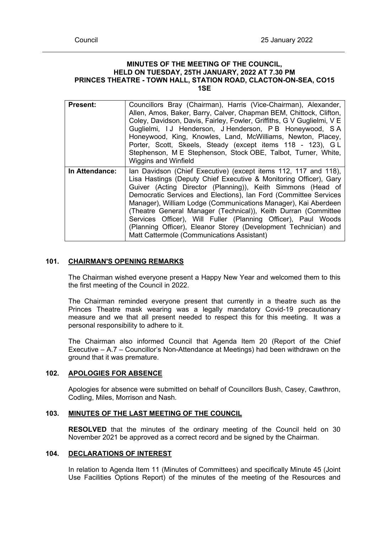#### **MINUTES OF THE MEETING OF THE COUNCIL, HELD ON TUESDAY, 25TH JANUARY, 2022 AT 7.30 PM PRINCES THEATRE - TOWN HALL, STATION ROAD, CLACTON-ON-SEA, CO15 1SE**

| <b>Present:</b> | Councillors Bray (Chairman), Harris (Vice-Chairman), Alexander,<br>Allen, Amos, Baker, Barry, Calver, Chapman BEM, Chittock, Clifton,<br>Coley, Davidson, Davis, Fairley, Fowler, Griffiths, G V Guglielmi, V E<br>Guglielmi, IJ Henderson, J Henderson, P B Honeywood, S A<br>Honeywood, King, Knowles, Land, McWilliams, Newton, Placey,<br>Porter, Scott, Skeels, Steady (except items 118 - 123), GL<br>Stephenson, M E Stephenson, Stock OBE, Talbot, Turner, White,<br><b>Wiggins and Winfield</b>                                                                                      |
|-----------------|-----------------------------------------------------------------------------------------------------------------------------------------------------------------------------------------------------------------------------------------------------------------------------------------------------------------------------------------------------------------------------------------------------------------------------------------------------------------------------------------------------------------------------------------------------------------------------------------------|
| In Attendance:  | lan Davidson (Chief Executive) (except items 112, 117 and 118),<br>Lisa Hastings (Deputy Chief Executive & Monitoring Officer), Gary<br>Guiver (Acting Director (Planning)), Keith Simmons (Head of<br>Democratic Services and Elections), Ian Ford (Committee Services<br>Manager), William Lodge (Communications Manager), Kai Aberdeen<br>(Theatre General Manager (Technical)), Keith Durran (Committee<br>Services Officer), Will Fuller (Planning Officer), Paul Woods<br>(Planning Officer), Eleanor Storey (Development Technician) and<br>Matt Cattermole (Communications Assistant) |

## **101. CHAIRMAN'S OPENING REMARKS**

The Chairman wished everyone present a Happy New Year and welcomed them to this the first meeting of the Council in 2022.

The Chairman reminded everyone present that currently in a theatre such as the Princes Theatre mask wearing was a legally mandatory Covid-19 precautionary measure and we that all present needed to respect this for this meeting. It was a personal responsibility to adhere to it.

The Chairman also informed Council that Agenda Item 20 (Report of the Chief Executive – A.7 – Councillor's Non-Attendance at Meetings) had been withdrawn on the ground that it was premature.

## **102. APOLOGIES FOR ABSENCE**

Apologies for absence were submitted on behalf of Councillors Bush, Casey, Cawthron, Codling, Miles, Morrison and Nash.

# **103. MINUTES OF THE LAST MEETING OF THE COUNCIL**

**RESOLVED** that the minutes of the ordinary meeting of the Council held on 30 November 2021 be approved as a correct record and be signed by the Chairman.

# **104. DECLARATIONS OF INTEREST**

In relation to Agenda Item 11 (Minutes of Committees) and specifically Minute 45 (Joint Use Facilities Options Report) of the minutes of the meeting of the Resources and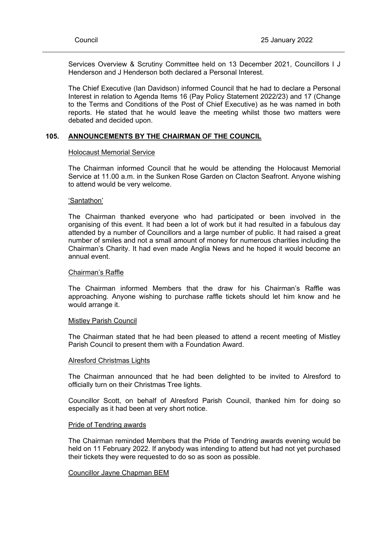Services Overview & Scrutiny Committee held on 13 December 2021, Councillors I J Henderson and J Henderson both declared a Personal Interest.

The Chief Executive (Ian Davidson) informed Council that he had to declare a Personal Interest in relation to Agenda Items 16 (Pay Policy Statement 2022/23) and 17 (Change to the Terms and Conditions of the Post of Chief Executive) as he was named in both reports. He stated that he would leave the meeting whilst those two matters were debated and decided upon.

## **105. ANNOUNCEMENTS BY THE CHAIRMAN OF THE COUNCIL**

#### Holocaust Memorial Service

The Chairman informed Council that he would be attending the Holocaust Memorial Service at 11.00 a.m. in the Sunken Rose Garden on Clacton Seafront. Anyone wishing to attend would be very welcome.

#### 'Santathon'

The Chairman thanked everyone who had participated or been involved in the organising of this event. It had been a lot of work but it had resulted in a fabulous day attended by a number of Councillors and a large number of public. It had raised a great number of smiles and not a small amount of money for numerous charities including the Chairman's Charity. It had even made Anglia News and he hoped it would become an annual event.

## Chairman's Raffle

The Chairman informed Members that the draw for his Chairman's Raffle was approaching. Anyone wishing to purchase raffle tickets should let him know and he would arrange it.

#### Mistley Parish Council

The Chairman stated that he had been pleased to attend a recent meeting of Mistley Parish Council to present them with a Foundation Award.

#### Alresford Christmas Lights

The Chairman announced that he had been delighted to be invited to Alresford to officially turn on their Christmas Tree lights.

Councillor Scott, on behalf of Alresford Parish Council, thanked him for doing so especially as it had been at very short notice.

#### Pride of Tendring awards

The Chairman reminded Members that the Pride of Tendring awards evening would be held on 11 February 2022. If anybody was intending to attend but had not yet purchased their tickets they were requested to do so as soon as possible.

## Councillor Jayne Chapman BEM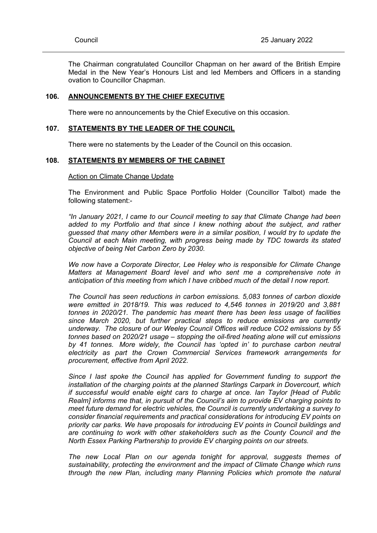The Chairman congratulated Councillor Chapman on her award of the British Empire Medal in the New Year's Honours List and led Members and Officers in a standing ovation to Councillor Chapman.

#### **106. ANNOUNCEMENTS BY THE CHIEF EXECUTIVE**

There were no announcements by the Chief Executive on this occasion.

#### **107. STATEMENTS BY THE LEADER OF THE COUNCIL**

There were no statements by the Leader of the Council on this occasion.

### **108. STATEMENTS BY MEMBERS OF THE CABINET**

## Action on Climate Change Update

The Environment and Public Space Portfolio Holder (Councillor Talbot) made the following statement:-

*"In January 2021, I came to our Council meeting to say that Climate Change had been added to my Portfolio and that since I knew nothing about the subject, and rather guessed that many other Members were in a similar position, I would try to update the Council at each Main meeting, with progress being made by TDC towards its stated objective of being Net Carbon Zero by 2030.*

*We now have a Corporate Director, Lee Heley who is responsible for Climate Change Matters at Management Board level and who sent me a comprehensive note in anticipation of this meeting from which I have cribbed much of the detail I now report.*

*The Council has seen reductions in carbon emissions. 5,083 tonnes of carbon dioxide were emitted in 2018/19. This was reduced to 4,546 tonnes in 2019/20 and 3,881 tonnes in 2020/21. The pandemic has meant there has been less usage of facilities since March 2020, but further practical steps to reduce emissions are currently underway. The closure of our Weeley Council Offices will reduce CO2 emissions by 55 tonnes based on 2020/21 usage – stopping the oil-fired heating alone will cut emissions by 41 tonnes. More widely, the Council has 'opted in' to purchase carbon neutral electricity as part the Crown Commercial Services framework arrangements for procurement, effective from April 2022.*

*Since I last spoke the Council has applied for Government funding to support the installation of the charging points at the planned Starlings Carpark in Dovercourt, which if successful would enable eight cars to charge at once. Ian Taylor [Head of Public Realm] informs me that, in pursuit of the Council's aim to provide EV charging points to meet future demand for electric vehicles, the Council is currently undertaking a survey to consider financial requirements and practical considerations for introducing EV points on priority car parks. We have proposals for introducing EV points in Council buildings and are continuing to work with other stakeholders such as the County Council and the North Essex Parking Partnership to provide EV charging points on our streets.*

*The new Local Plan on our agenda tonight for approval, suggests themes of sustainability, protecting the environment and the impact of Climate Change which runs through the new Plan, including many Planning Policies which promote the natural*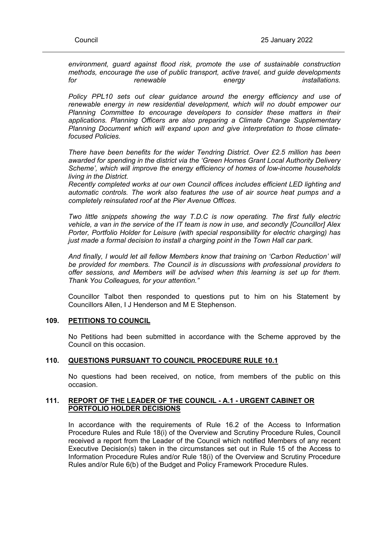*environment, guard against flood risk, promote the use of sustainable construction methods, encourage the use of public transport, active travel, and guide developments for renewable energy installations.*

*Policy PPL10 sets out clear guidance around the energy efficiency and use of renewable energy in new residential development, which will no doubt empower our Planning Committee to encourage developers to consider these matters in their applications. Planning Officers are also preparing a Climate Change Supplementary Planning Document which will expand upon and give interpretation to those climatefocused Policies.*

*There have been benefits for the wider Tendring District. Over £2.5 million has been awarded for spending in the district via the 'Green Homes Grant Local Authority Delivery Scheme', which will improve the energy efficiency of homes of low-income households living in the District.*

*Recently completed works at our own Council offices includes efficient LED lighting and automatic controls. The work also features the use of air source heat pumps and a completely reinsulated roof at the Pier Avenue Offices.*

*Two little snippets showing the way T.D.C is now operating. The first fully electric vehicle, a van in the service of the IT team is now in use, and secondly [Councillor] Alex Porter, Portfolio Holder for Leisure (with special responsibility for electric charging) has just made a formal decision to install a charging point in the Town Hall car park.*

*And finally, I would let all fellow Members know that training on 'Carbon Reduction' will be provided for members. The Council is in discussions with professional providers to offer sessions, and Members will be advised when this learning is set up for them. Thank You Colleagues, for your attention."*

Councillor Talbot then responded to questions put to him on his Statement by Councillors Allen, I J Henderson and M E Stephenson.

## **109. PETITIONS TO COUNCIL**

No Petitions had been submitted in accordance with the Scheme approved by the Council on this occasion.

## **110. QUESTIONS PURSUANT TO COUNCIL PROCEDURE RULE 10.1**

No questions had been received, on notice, from members of the public on this occasion.

## **111. REPORT OF THE LEADER OF THE COUNCIL - A.1 - URGENT CABINET OR PORTFOLIO HOLDER DECISIONS**

In accordance with the requirements of Rule 16.2 of the Access to Information Procedure Rules and Rule 18(i) of the Overview and Scrutiny Procedure Rules, Council received a report from the Leader of the Council which notified Members of any recent Executive Decision(s) taken in the circumstances set out in Rule 15 of the Access to Information Procedure Rules and/or Rule 18(i) of the Overview and Scrutiny Procedure Rules and/or Rule 6(b) of the Budget and Policy Framework Procedure Rules.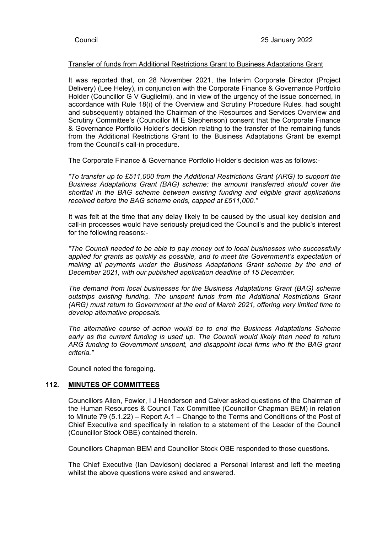## Transfer of funds from Additional Restrictions Grant to Business Adaptations Grant

It was reported that, on 28 November 2021, the Interim Corporate Director (Project Delivery) (Lee Heley), in conjunction with the Corporate Finance & Governance Portfolio Holder (Councillor G V Guglielmi), and in view of the urgency of the issue concerned, in accordance with Rule 18(i) of the Overview and Scrutiny Procedure Rules, had sought and subsequently obtained the Chairman of the Resources and Services Overview and Scrutiny Committee's (Councillor M E Stephenson) consent that the Corporate Finance & Governance Portfolio Holder's decision relating to the transfer of the remaining funds from the Additional Restrictions Grant to the Business Adaptations Grant be exempt from the Council's call-in procedure.

The Corporate Finance & Governance Portfolio Holder's decision was as follows:-

*"To transfer up to £511,000 from the Additional Restrictions Grant (ARG) to support the Business Adaptations Grant (BAG) scheme: the amount transferred should cover the shortfall in the BAG scheme between existing funding and eligible grant applications received before the BAG scheme ends, capped at £511,000."*

It was felt at the time that any delay likely to be caused by the usual key decision and call-in processes would have seriously prejudiced the Council's and the public's interest for the following reasons:-

*"The Council needed to be able to pay money out to local businesses who successfully applied for grants as quickly as possible, and to meet the Government's expectation of making all payments under the Business Adaptations Grant scheme by the end of December 2021, with our published application deadline of 15 December.*

*The demand from local businesses for the Business Adaptations Grant (BAG) scheme outstrips existing funding. The unspent funds from the Additional Restrictions Grant (ARG) must return to Government at the end of March 2021, offering very limited time to develop alternative proposals.*

*The alternative course of action would be to end the Business Adaptations Scheme early as the current funding is used up. The Council would likely then need to return ARG funding to Government unspent, and disappoint local firms who fit the BAG grant criteria."*

Council noted the foregoing.

## **112. MINUTES OF COMMITTEES**

Councillors Allen, Fowler, I J Henderson and Calver asked questions of the Chairman of the Human Resources & Council Tax Committee (Councillor Chapman BEM) in relation to Minute 79 (5.1.22) – Report A.1 – Change to the Terms and Conditions of the Post of Chief Executive and specifically in relation to a statement of the Leader of the Council (Councillor Stock OBE) contained therein.

Councillors Chapman BEM and Councillor Stock OBE responded to those questions.

The Chief Executive (Ian Davidson) declared a Personal Interest and left the meeting whilst the above questions were asked and answered.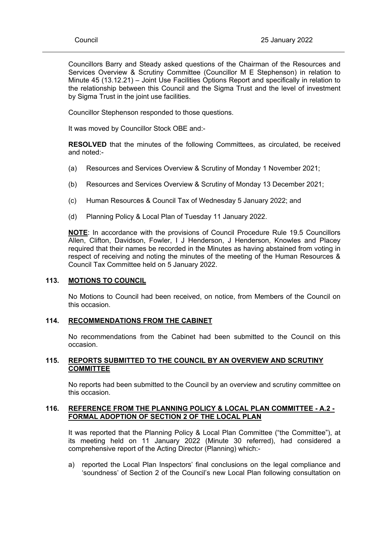Councillors Barry and Steady asked questions of the Chairman of the Resources and Services Overview & Scrutiny Committee (Councillor M E Stephenson) in relation to Minute 45 (13.12.21) – Joint Use Facilities Options Report and specifically in relation to the relationship between this Council and the Sigma Trust and the level of investment by Sigma Trust in the joint use facilities.

Councillor Stephenson responded to those questions.

It was moved by Councillor Stock OBE and:-

**RESOLVED** that the minutes of the following Committees, as circulated, be received and noted:-

- (a) Resources and Services Overview & Scrutiny of Monday 1 November 2021;
- (b) Resources and Services Overview & Scrutiny of Monday 13 December 2021;
- (c) Human Resources & Council Tax of Wednesday 5 January 2022; and
- (d) Planning Policy & Local Plan of Tuesday 11 January 2022.

**NOTE**: In accordance with the provisions of Council Procedure Rule 19.5 Councillors Allen, Clifton, Davidson, Fowler, I J Henderson, J Henderson, Knowles and Placey required that their names be recorded in the Minutes as having abstained from voting in respect of receiving and noting the minutes of the meeting of the Human Resources & Council Tax Committee held on 5 January 2022.

# **113. MOTIONS TO COUNCIL**

No Motions to Council had been received, on notice, from Members of the Council on this occasion.

## **114. RECOMMENDATIONS FROM THE CABINET**

No recommendations from the Cabinet had been submitted to the Council on this occasion.

## **115. REPORTS SUBMITTED TO THE COUNCIL BY AN OVERVIEW AND SCRUTINY COMMITTEE**

No reports had been submitted to the Council by an overview and scrutiny committee on this occasion.

## **116. REFERENCE FROM THE PLANNING POLICY & LOCAL PLAN COMMITTEE - A.2 - FORMAL ADOPTION OF SECTION 2 OF THE LOCAL PLAN**

It was reported that the Planning Policy & Local Plan Committee ("the Committee"), at its meeting held on 11 January 2022 (Minute 30 referred), had considered a comprehensive report of the Acting Director (Planning) which:-

a) reported the Local Plan Inspectors' final conclusions on the legal compliance and 'soundness' of Section 2 of the Council's new Local Plan following consultation on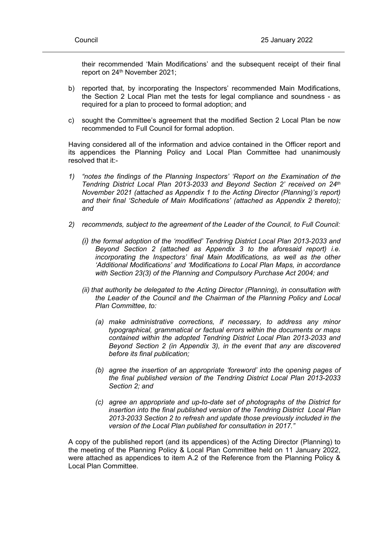their recommended 'Main Modifications' and the subsequent receipt of their final report on 24<sup>th</sup> November 2021;

- b) reported that, by incorporating the Inspectors' recommended Main Modifications, the Section 2 Local Plan met the tests for legal compliance and soundness - as required for a plan to proceed to formal adoption; and
- c) sought the Committee's agreement that the modified Section 2 Local Plan be now recommended to Full Council for formal adoption.

Having considered all of the information and advice contained in the Officer report and its appendices the Planning Policy and Local Plan Committee had unanimously resolved that it:-

- *1) "notes the findings of the Planning Inspectors' 'Report on the Examination of the Tendring District Local Plan 2013-2033 and Beyond Section 2' received on 24th November 2021 (attached as Appendix 1 to the Acting Director (Planning)'s report) and their final 'Schedule of Main Modifications' (attached as Appendix 2 thereto); and*
- *2) recommends, subject to the agreement of the Leader of the Council, to Full Council:*
	- *(i) the formal adoption of the 'modified' Tendring District Local Plan 2013-2033 and Beyond Section 2 (attached as Appendix 3 to the aforesaid report) i.e. incorporating the Inspectors' final Main Modifications, as well as the other 'Additional Modifications' and 'Modifications to Local Plan Maps, in accordance with Section 23(3) of the Planning and Compulsory Purchase Act 2004; and*
	- *(ii) that authority be delegated to the Acting Director (Planning), in consultation with the Leader of the Council and the Chairman of the Planning Policy and Local Plan Committee, to:*
		- *(a) make administrative corrections, if necessary, to address any minor typographical, grammatical or factual errors within the documents or maps contained within the adopted Tendring District Local Plan 2013-2033 and Beyond Section 2 (in Appendix 3), in the event that any are discovered before its final publication;*
		- *(b) agree the insertion of an appropriate 'foreword' into the opening pages of the final published version of the Tendring District Local Plan 2013-2033 Section 2; and*
		- *(c) agree an appropriate and up-to-date set of photographs of the District for insertion into the final published version of the Tendring District Local Plan 2013-2033 Section 2 to refresh and update those previously included in the version of the Local Plan published for consultation in 2017."*

A copy of the published report (and its appendices) of the Acting Director (Planning) to the meeting of the Planning Policy & Local Plan Committee held on 11 January 2022, were attached as appendices to item A.2 of the Reference from the Planning Policy & Local Plan Committee.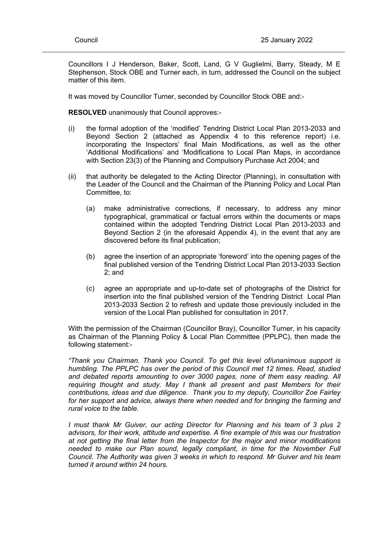Councillors I J Henderson, Baker, Scott, Land, G V Guglielmi, Barry, Steady, M E Stephenson, Stock OBE and Turner each, in turn, addressed the Council on the subject matter of this item.

It was moved by Councillor Turner, seconded by Councillor Stock OBE and:-

**RESOLVED** unanimously that Council approves:-

- (i) the formal adoption of the 'modified' Tendring District Local Plan 2013-2033 and Beyond Section 2 (attached as Appendix 4 to this reference report) i.e. incorporating the Inspectors' final Main Modifications, as well as the other 'Additional Modifications' and 'Modifications to Local Plan Maps, in accordance with Section 23(3) of the Planning and Compulsory Purchase Act 2004; and
- (ii) that authority be delegated to the Acting Director (Planning), in consultation with the Leader of the Council and the Chairman of the Planning Policy and Local Plan Committee, to:
	- (a) make administrative corrections, if necessary, to address any minor typographical, grammatical or factual errors within the documents or maps contained within the adopted Tendring District Local Plan 2013-2033 and Beyond Section 2 (in the aforesaid Appendix 4), in the event that any are discovered before its final publication;
	- (b) agree the insertion of an appropriate 'foreword' into the opening pages of the final published version of the Tendring District Local Plan 2013-2033 Section 2; and
	- (c) agree an appropriate and up-to-date set of photographs of the District for insertion into the final published version of the Tendring District Local Plan 2013-2033 Section 2 to refresh and update those previously included in the version of the Local Plan published for consultation in 2017.

With the permission of the Chairman (Councillor Bray), Councillor Turner, in his capacity as Chairman of the Planning Policy & Local Plan Committee (PPLPC), then made the following statement:-

*"Thank you Chairman. Thank you Council. To get this level of/unanimous support is humbling. The PPLPC has over the period of this Council met 12 times. Read, studied and debated reports amounting to over 3000 pages, none of them easy reading. All requiring thought and study. May I thank all present and past Members for their contributions, ideas and due diligence. Thank you to my deputy, Councillor Zoe Fairley for her support and advice, always there when needed and for bringing the farming and rural voice to the table.*

*I must thank Mr Guiver, our acting Director for Planning and his team of 3 plus 2 advisors, for their work, attitude and expertise. A fine example of this was our frustration at not getting the final letter from the Inspector for the major and minor modifications needed to make our Plan sound, legally compliant, in time for the November Full Council. The Authority was given 3 weeks in which to respond. Mr Guiver and his team turned it around within 24 hours.*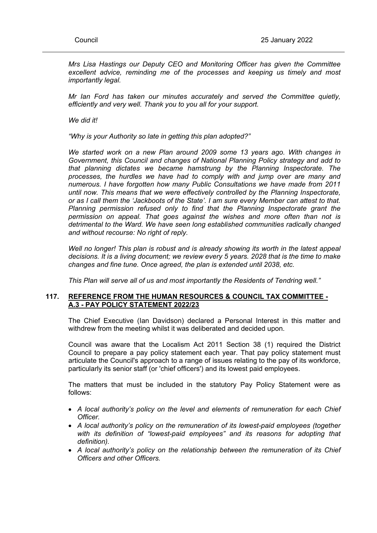*Mrs Lisa Hastings our Deputy CEO and Monitoring Officer has given the Committee excellent advice, reminding me of the processes and keeping us timely and most importantly legal.*

*Mr Ian Ford has taken our minutes accurately and served the Committee quietly, efficiently and very well. Thank you to you all for your support.*

*We did it!*

*"Why is your Authority so late in getting this plan adopted?"*

*We started work on a new Plan around 2009 some 13 years ago. With changes in Government, this Council and changes of National Planning Policy strategy and add to that planning dictates we became hamstrung by the Planning Inspectorate. The processes, the hurdles we have had to comply with and jump over are many and numerous. I have forgotten how many Public Consultations we have made from 2011 until now. This means that we were effectively controlled by the Planning Inspectorate, or as I call them the 'Jackboots of the State'. I am sure every Member can attest to that. Planning permission refused only to find that the Planning Inspectorate grant the permission on appeal. That goes against the wishes and more often than not is detrimental to the Ward. We have seen long established communities radically changed and without recourse: No right of reply.*

*Well no longer! This plan is robust and is already showing its worth in the latest appeal decisions. It is a living document; we review every 5 years. 2028 that is the time to make changes and fine tune. Once agreed, the plan is extended until 2038, etc.*

*This Plan will serve all of us and most importantly the Residents of Tendring well."*

## **117. REFERENCE FROM THE HUMAN RESOURCES & COUNCIL TAX COMMITTEE - A.3 - PAY POLICY STATEMENT 2022/23**

The Chief Executive (Ian Davidson) declared a Personal Interest in this matter and withdrew from the meeting whilst it was deliberated and decided upon.

Council was aware that the Localism Act 2011 Section 38 (1) required the District Council to prepare a pay policy statement each year. That pay policy statement must articulate the Council's approach to a range of issues relating to the pay of its workforce, particularly its senior staff (or 'chief officers') and its lowest paid employees.

The matters that must be included in the statutory Pay Policy Statement were as follows:

- *A local authority's policy on the level and elements of remuneration for each Chief Officer.*
- *A local authority's policy on the remuneration of its lowest-paid employees (together with its definition of "lowest-paid employees" and its reasons for adopting that definition).*
- *A local authority's policy on the relationship between the remuneration of its Chief Officers and other Officers.*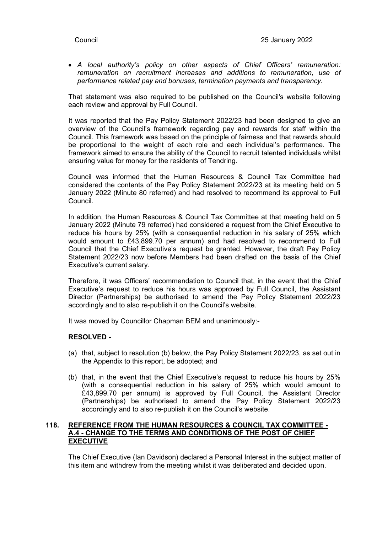*A local authority's policy on other aspects of Chief Officers' remuneration: remuneration on recruitment increases and additions to remuneration, use of performance related pay and bonuses, termination payments and transparency.*

That statement was also required to be published on the Council's website following each review and approval by Full Council.

It was reported that the Pay Policy Statement 2022/23 had been designed to give an overview of the Council's framework regarding pay and rewards for staff within the Council. This framework was based on the principle of fairness and that rewards should be proportional to the weight of each role and each individual's performance. The framework aimed to ensure the ability of the Council to recruit talented individuals whilst ensuring value for money for the residents of Tendring.

Council was informed that the Human Resources & Council Tax Committee had considered the contents of the Pay Policy Statement 2022/23 at its meeting held on 5 January 2022 (Minute 80 referred) and had resolved to recommend its approval to Full Council.

In addition, the Human Resources & Council Tax Committee at that meeting held on 5 January 2022 (Minute 79 referred) had considered a request from the Chief Executive to reduce his hours by 25% (with a consequential reduction in his salary of 25% which would amount to £43,899.70 per annum) and had resolved to recommend to Full Council that the Chief Executive's request be granted. However, the draft Pay Policy Statement 2022/23 now before Members had been drafted on the basis of the Chief Executive's current salary.

Therefore, it was Officers' recommendation to Council that, in the event that the Chief Executive's request to reduce his hours was approved by Full Council, the Assistant Director (Partnerships) be authorised to amend the Pay Policy Statement 2022/23 accordingly and to also re-publish it on the Council's website.

It was moved by Councillor Chapman BEM and unanimously:-

# **RESOLVED -**

- (a) that, subject to resolution (b) below, the Pay Policy Statement 2022/23, as set out in the Appendix to this report, be adopted; and
- (b) that, in the event that the Chief Executive's request to reduce his hours by 25% (with a consequential reduction in his salary of 25% which would amount to £43,899.70 per annum) is approved by Full Council, the Assistant Director (Partnerships) be authorised to amend the Pay Policy Statement 2022/23 accordingly and to also re-publish it on the Council's website.

## **118. REFERENCE FROM THE HUMAN RESOURCES & COUNCIL TAX COMMITTEE - A.4 - CHANGE TO THE TERMS AND CONDITIONS OF THE POST OF CHIEF EXECUTIVE**

The Chief Executive (Ian Davidson) declared a Personal Interest in the subject matter of this item and withdrew from the meeting whilst it was deliberated and decided upon.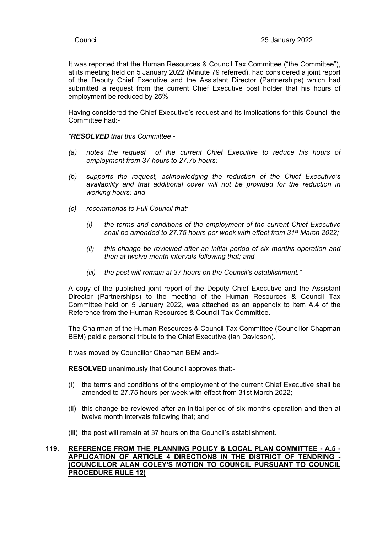It was reported that the Human Resources & Council Tax Committee ("the Committee"), at its meeting held on 5 January 2022 (Minute 79 referred), had considered a joint report of the Deputy Chief Executive and the Assistant Director (Partnerships) which had submitted a request from the current Chief Executive post holder that his hours of employment be reduced by 25%.

Having considered the Chief Executive's request and its implications for this Council the Committee had:-

*"RESOLVED that this Committee -*

- *(a) notes the request of the current Chief Executive to reduce his hours of employment from 37 hours to 27.75 hours;*
- *(b) supports the request, acknowledging the reduction of the Chief Executive's availability and that additional cover will not be provided for the reduction in working hours; and*
- *(c) recommends to Full Council that:*
	- *(i) the terms and conditions of the employment of the current Chief Executive shall be amended to 27.75 hours per week with effect from 31st March 2022;*
	- *(ii) this change be reviewed after an initial period of six months operation and then at twelve month intervals following that; and*
	- *(iii) the post will remain at 37 hours on the Council's establishment."*

A copy of the published joint report of the Deputy Chief Executive and the Assistant Director (Partnerships) to the meeting of the Human Resources & Council Tax Committee held on 5 January 2022, was attached as an appendix to item A.4 of the Reference from the Human Resources & Council Tax Committee.

The Chairman of the Human Resources & Council Tax Committee (Councillor Chapman BEM) paid a personal tribute to the Chief Executive (Ian Davidson).

It was moved by Councillor Chapman BEM and:-

**RESOLVED** unanimously that Council approves that:-

- (i) the terms and conditions of the employment of the current Chief Executive shall be amended to 27.75 hours per week with effect from 31st March 2022;
- (ii) this change be reviewed after an initial period of six months operation and then at twelve month intervals following that; and
- (iii) the post will remain at 37 hours on the Council's establishment.

## **119. REFERENCE FROM THE PLANNING POLICY & LOCAL PLAN COMMITTEE - A.5 - APPLICATION OF ARTICLE 4 DIRECTIONS IN THE DISTRICT OF TENDRING - (COUNCILLOR ALAN COLEY'S MOTION TO COUNCIL PURSUANT TO COUNCIL PROCEDURE RULE 12)**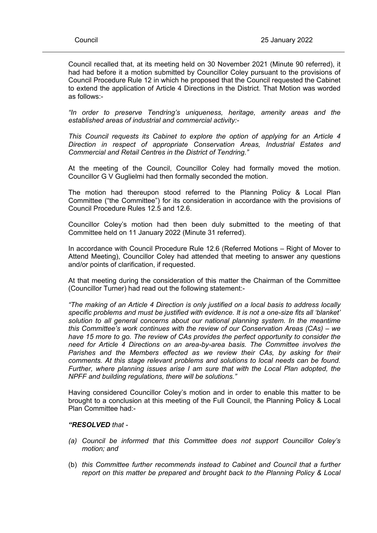Council recalled that, at its meeting held on 30 November 2021 (Minute 90 referred), it had had before it a motion submitted by Councillor Coley pursuant to the provisions of Council Procedure Rule 12 in which he proposed that the Council requested the Cabinet to extend the application of Article 4 Directions in the District. That Motion was worded as follows:-

*"In order to preserve Tendring's uniqueness, heritage, amenity areas and the established areas of industrial and commercial activity:-*

*This Council requests its Cabinet to explore the option of applying for an Article 4 Direction in respect of appropriate Conservation Areas, Industrial Estates and Commercial and Retail Centres in the District of Tendring."*

At the meeting of the Council, Councillor Coley had formally moved the motion. Councillor G V Guglielmi had then formally seconded the motion.

The motion had thereupon stood referred to the Planning Policy & Local Plan Committee ("the Committee") for its consideration in accordance with the provisions of Council Procedure Rules 12.5 and 12.6.

Councillor Coley's motion had then been duly submitted to the meeting of that Committee held on 11 January 2022 (Minute 31 referred).

In accordance with Council Procedure Rule 12.6 (Referred Motions – Right of Mover to Attend Meeting), Councillor Coley had attended that meeting to answer any questions and/or points of clarification, if requested.

At that meeting during the consideration of this matter the Chairman of the Committee (Councillor Turner) had read out the following statement:-

*"The making of an Article 4 Direction is only justified on a local basis to address locally specific problems and must be justified with evidence. It is not a one-size fits all 'blanket' solution to all general concerns about our national planning system. In the meantime this Committee's work continues with the review of our Conservation Areas (CAs) – we have 15 more to go. The review of CAs provides the perfect opportunity to consider the need for Article 4 Directions on an area-by-area basis. The Committee involves the Parishes and the Members effected as we review their CAs, by asking for their comments. At this stage relevant problems and solutions to local needs can be found. Further, where planning issues arise I am sure that with the Local Plan adopted, the NPFF and building regulations, there will be solutions."*

Having considered Councillor Coley's motion and in order to enable this matter to be brought to a conclusion at this meeting of the Full Council, the Planning Policy & Local Plan Committee had:-

#### *"RESOLVED that -*

- *(a) Council be informed that this Committee does not support Councillor Coley's motion; and*
- (b) *this Committee further recommends instead to Cabinet and Council that a further report on this matter be prepared and brought back to the Planning Policy & Local*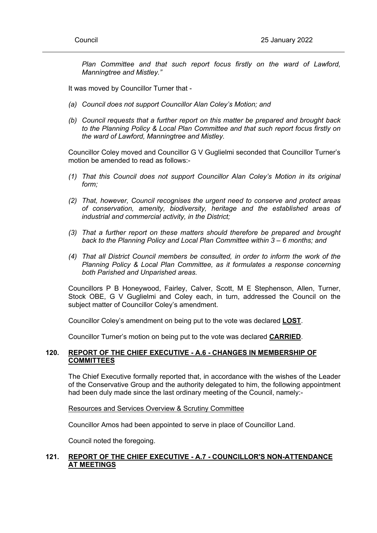*Plan Committee and that such report focus firstly on the ward of Lawford, Manningtree and Mistley."*

It was moved by Councillor Turner that -

- *(a) Council does not support Councillor Alan Coley's Motion; and*
- *(b) Council requests that a further report on this matter be prepared and brought back to the Planning Policy & Local Plan Committee and that such report focus firstly on the ward of Lawford, Manningtree and Mistley.*

Councillor Coley moved and Councillor G V Guglielmi seconded that Councillor Turner's motion be amended to read as follows:-

- *(1) That this Council does not support Councillor Alan Coley's Motion in its original form;*
- *(2) That, however, Council recognises the urgent need to conserve and protect areas of conservation, amenity, biodiversity, heritage and the established areas of industrial and commercial activity, in the District;*
- *(3) That a further report on these matters should therefore be prepared and brought back to the Planning Policy and Local Plan Committee within 3 – 6 months; and*
- *(4) That all District Council members be consulted, in order to inform the work of the Planning Policy & Local Plan Committee, as it formulates a response concerning both Parished and Unparished areas.*

Councillors P B Honeywood, Fairley, Calver, Scott, M E Stephenson, Allen, Turner, Stock OBE, G V Guglielmi and Coley each, in turn, addressed the Council on the subject matter of Councillor Coley's amendment.

Councillor Coley's amendment on being put to the vote was declared **LOST**.

Councillor Turner's motion on being put to the vote was declared **CARRIED**.

# **120. REPORT OF THE CHIEF EXECUTIVE - A.6 - CHANGES IN MEMBERSHIP OF COMMITTEES**

The Chief Executive formally reported that, in accordance with the wishes of the Leader of the Conservative Group and the authority delegated to him, the following appointment had been duly made since the last ordinary meeting of the Council, namely:-

Resources and Services Overview & Scrutiny Committee

Councillor Amos had been appointed to serve in place of Councillor Land.

Council noted the foregoing.

# **121. REPORT OF THE CHIEF EXECUTIVE - A.7 - COUNCILLOR'S NON-ATTENDANCE AT MEETINGS**